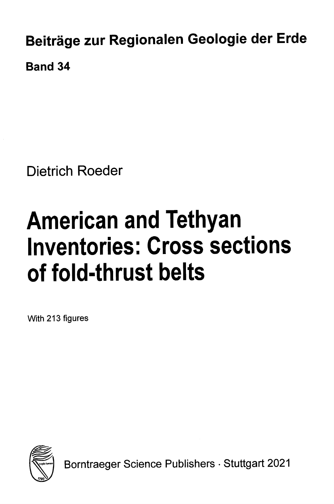Beiträge zur Regionalen Geologie der Erde Band 34

Dietrich Roeder

## American and Tethyan Inventories: Cross sections of fold-thrust belts

With 213 figures



Borntraeger Science Publishers • Stuttgart 2021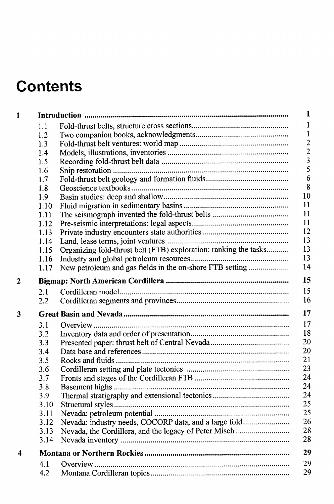## **Contents**

| $\mathbf{1}$   |      |                                                                  | 1                                          |  |
|----------------|------|------------------------------------------------------------------|--------------------------------------------|--|
|                | 1.1  |                                                                  | 1                                          |  |
|                | 1.2  |                                                                  | $\mathbf{1}$                               |  |
|                | 1.3  |                                                                  |                                            |  |
|                | 1.4  |                                                                  | $\begin{array}{c} 2 \\ 2 \\ 3 \end{array}$ |  |
|                | 1.5  |                                                                  |                                            |  |
|                | 1.6  |                                                                  | 5                                          |  |
|                | 1.7  |                                                                  | 6                                          |  |
|                | 1.8  |                                                                  | 8                                          |  |
|                | 1.9  |                                                                  | 10                                         |  |
|                | 1.10 |                                                                  | 11                                         |  |
|                | 1.11 |                                                                  | 11                                         |  |
|                | 1.12 |                                                                  | 11                                         |  |
|                | 1.13 |                                                                  | 12                                         |  |
|                | 1.14 |                                                                  | 13                                         |  |
|                | 1.15 | Organizing fold-thrust belt (FTB) exploration: ranking the tasks | 13                                         |  |
|                | 1.16 |                                                                  | 13                                         |  |
|                | 1.17 | New petroleum and gas fields in the on-shore FTB setting         | 14                                         |  |
| $\overline{c}$ | 15   |                                                                  |                                            |  |
|                | 2.1  |                                                                  | 15                                         |  |
|                | 2.2  |                                                                  | 16                                         |  |
| 3              |      |                                                                  | 17                                         |  |
|                | 3.1  |                                                                  | 17                                         |  |
|                | 3.2  |                                                                  | 18                                         |  |
|                | 3.3  |                                                                  | 20                                         |  |
|                | 3.4  |                                                                  | 20                                         |  |
|                | 3.5  |                                                                  | 21                                         |  |
|                | 3.6  |                                                                  | 23                                         |  |
|                | 3.7  |                                                                  | 24                                         |  |
|                | 3.8  |                                                                  | 24                                         |  |
|                | 3.9  |                                                                  | 24                                         |  |
|                | 3.10 |                                                                  | 25                                         |  |
|                | 3.11 |                                                                  | 25                                         |  |
|                | 3.12 | Nevada: industry needs, COCORP data, and a large fold            | 26                                         |  |
|                | 3.13 | Nevada, the Cordillera, and the legacy of Peter Misch            | 28                                         |  |
|                | 3.14 |                                                                  | 28                                         |  |
| 4              |      | 29                                                               |                                            |  |
|                | 4.1  |                                                                  | 29                                         |  |
|                | 4.2  |                                                                  | 29                                         |  |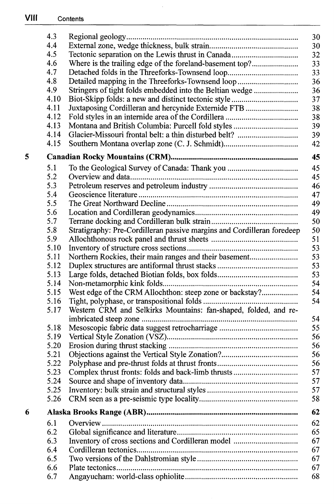|   | 4.3  | 30                                                                           |  |
|---|------|------------------------------------------------------------------------------|--|
|   | 4.4  | 30                                                                           |  |
|   | 4.5  | 32                                                                           |  |
|   | 4.6  | Where is the trailing edge of the foreland-basement top?<br>33               |  |
|   | 4.7  | 33                                                                           |  |
|   | 4.8  | 36                                                                           |  |
|   | 4.9  | Stringers of tight folds embedded into the Beltian wedge<br>36               |  |
|   | 4.10 | 37                                                                           |  |
|   | 4.11 | 38<br>Juxtaposing Cordilleran and hercynide Externide FTB                    |  |
|   | 4.12 | 38                                                                           |  |
|   | 4.13 | 39                                                                           |  |
|   | 4.14 | 39                                                                           |  |
|   | 4.15 | 42                                                                           |  |
| 5 |      | 45                                                                           |  |
|   | 5.1  | 45                                                                           |  |
|   | 5.2  | 45                                                                           |  |
|   | 5.3  | 46                                                                           |  |
|   | 5.4  | 47                                                                           |  |
|   | 5.5  | 49                                                                           |  |
|   | 5.6  | 49                                                                           |  |
|   | 5.7  | 50                                                                           |  |
|   | 5.8  | 50<br>Stratigraphy: Pre-Cordilleran passive margins and Cordilleran foredeep |  |
|   | 5.9  | 51                                                                           |  |
|   | 5.10 | 53                                                                           |  |
|   | 5.11 | Northern Rockies, their main ranges and their basement<br>53                 |  |
|   | 5.12 | 53                                                                           |  |
|   | 5.13 | 53                                                                           |  |
|   | 5.14 | 54                                                                           |  |
|   | 5.15 | West edge of the CRM Allochthon: steep zone or backstay?<br>54               |  |
|   | 5.16 | 54                                                                           |  |
|   | 5.17 | Western CRM and Selkirks Mountains: fan-shaped, folded, and re-              |  |
|   |      | 54                                                                           |  |
|   | 5.18 | 55                                                                           |  |
|   | 5.19 | 56                                                                           |  |
|   | 5.20 | 56                                                                           |  |
|   | 5.21 | 56                                                                           |  |
|   | 5.22 | 56                                                                           |  |
|   | 5.23 | 57                                                                           |  |
|   | 5.24 | 57                                                                           |  |
|   | 5.25 | 57                                                                           |  |
|   | 5.26 | 58                                                                           |  |
| 6 |      | 62                                                                           |  |
|   | 6.1  | 62                                                                           |  |
|   | 6.2  | 65                                                                           |  |
|   | 6.3  | 67                                                                           |  |
|   | 6.4  | 67                                                                           |  |
|   | 6.5  | 67                                                                           |  |
|   | 6.6  | 67                                                                           |  |
|   | 6.7  | 68                                                                           |  |

 $\cdot$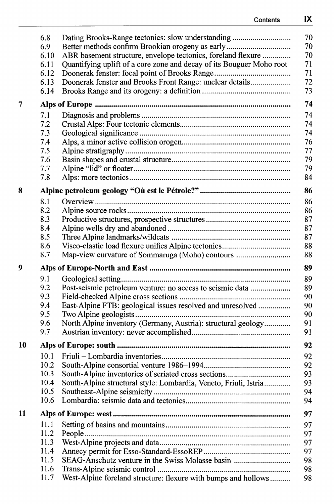|    | 6.8          |                                                                      | 70       |
|----|--------------|----------------------------------------------------------------------|----------|
|    | 6.9          | Better methods confirm Brookian orogeny as early                     | 70       |
|    | 6.10         | ABR basement structure, envelope tectonics, foreland flexure         | 70       |
|    | 6.11         | Quantifying uplift of a core zone and decay of its Bouguer Moho root | 71       |
|    | 6.12         |                                                                      | 71       |
|    | 6.13         | Doonerak fenster and Brooks Front Range: unclear details             | 72       |
|    | 6.14         |                                                                      | 73       |
| 7  |              |                                                                      | 74       |
|    | 7.1          |                                                                      | 74       |
|    | 7.2          |                                                                      | 74       |
|    | 7.3          |                                                                      | 74       |
|    | 7.4          |                                                                      | 76       |
|    | 7.5          |                                                                      | 77       |
|    | 7.6          |                                                                      | 79       |
|    | 7.7          |                                                                      | 79       |
|    | 7.8          |                                                                      | 84       |
| 8  |              |                                                                      | 86       |
|    | 8.1          |                                                                      | 86       |
|    | 8.2          |                                                                      | 86       |
|    | 8.3          |                                                                      | 87       |
|    | 8.4          |                                                                      | 87       |
|    | 8.5          |                                                                      | 87       |
|    | 8.6          |                                                                      | 88       |
|    | 8.7          | Map-view curvature of Sommaruga (Moho) contours                      | 88       |
|    |              |                                                                      |          |
| 9  |              |                                                                      | 89       |
|    |              |                                                                      |          |
|    | 9.1<br>9.2   |                                                                      | 89       |
|    | 9.3          | Post-seismic petroleum venture: no access to seismic data            | 89       |
|    | 9.4          |                                                                      | 90<br>90 |
|    | 9.5          | East-Alpine FTB: geological issues resolved and unresolved           | 90       |
|    | 9.6          |                                                                      | 91       |
|    | 9.7          | North Alpine inventory (Germany, Austria): structural geology        | 91       |
| 10 |              |                                                                      | 92       |
|    |              |                                                                      |          |
|    | 10.1         |                                                                      | 92       |
|    | 10.2<br>10.3 |                                                                      | 92       |
|    |              | South-Alpine inventories of seriated cross sections                  | 93       |
|    | 10.4<br>10.5 | South-Alpine structural style: Lombardia, Veneto, Friuli, Istria     | 93       |
|    | 10.6         |                                                                      | 94<br>94 |
| 11 |              |                                                                      | 97       |
|    | 11.1         |                                                                      | 97       |
|    | 11.2         |                                                                      |          |
|    | 11.3         |                                                                      | 97       |
|    | 11.4         |                                                                      | 97<br>97 |
|    | 11.5         |                                                                      |          |
|    | 11.6         | SEAG-Anschutz venture in the Swiss Molasse basin                     | 98<br>98 |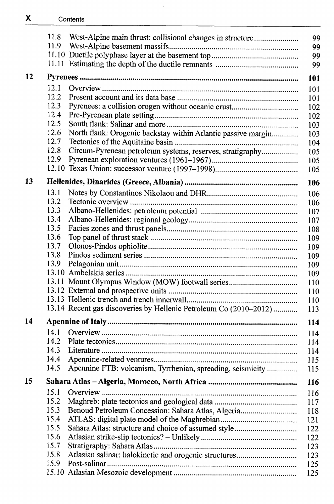|                  | 11.8 | West-Alpine main thrust: collisional changes in structure         | 99         |
|------------------|------|-------------------------------------------------------------------|------------|
|                  | 11.9 |                                                                   | 99         |
|                  |      |                                                                   | 99         |
|                  |      |                                                                   | 99         |
| 12               |      |                                                                   | <b>101</b> |
|                  | 12.1 |                                                                   | 101        |
|                  | 12.2 |                                                                   | 101        |
|                  | 12.3 |                                                                   | 102        |
|                  | 12.4 |                                                                   | 102        |
|                  | 12.5 |                                                                   | 103        |
|                  | 12.6 | North flank: Orogenic backstay within Atlantic passive margin     | 103        |
|                  | 12.7 |                                                                   | 104        |
|                  | 12.8 | Circum-Pyrenean petroleum systems, reserves, stratigraphy         | 105        |
|                  | 12.9 |                                                                   | 105        |
|                  |      |                                                                   | 105        |
| 13               |      |                                                                   | 106        |
|                  | 13.1 |                                                                   | 106        |
|                  | 13.2 |                                                                   | 106        |
|                  | 13.3 |                                                                   | 107        |
|                  | 13.4 |                                                                   | 107        |
|                  | 13.5 |                                                                   | 108        |
|                  | 13.6 |                                                                   | 109        |
|                  | 13.7 |                                                                   | 109        |
|                  | 13.8 |                                                                   | 109        |
|                  | 13.9 |                                                                   | 109        |
|                  |      |                                                                   | 109        |
|                  |      | 13.11 Mount Olympus Window (MOW) footwall series                  | 110        |
|                  |      |                                                                   | 110        |
|                  |      |                                                                   | 110        |
|                  |      | 13.14 Recent gas discoveries by Hellenic Petroleum Co (2010-2012) | 113        |
| 14               |      |                                                                   | 114        |
|                  | 14.1 |                                                                   |            |
|                  | 14.2 |                                                                   | 114        |
|                  | 14.3 |                                                                   | 114        |
|                  | 14.4 |                                                                   | 114        |
|                  | 14.5 | Apennine FTB: volcanism, Tyrrhenian, spreading, seismicity        | 115<br>115 |
| 15 <sub>15</sub> |      |                                                                   |            |
|                  | 15.1 |                                                                   | 116        |
|                  | 15.2 |                                                                   | 116        |
|                  | 15.3 |                                                                   | 117        |
|                  | 15.4 | Benoud Petroleum Concession: Sahara Atlas, Algeria                | 118        |
|                  | 15.5 | Sahara Atlas: structure and choice of assumed style               | 121        |
|                  | 15.6 |                                                                   | 122        |
|                  | 15.7 |                                                                   | 122        |
|                  | 15.8 |                                                                   | 123        |
|                  | 15.9 |                                                                   | 123<br>125 |
|                  |      |                                                                   | 125        |
|                  |      |                                                                   |            |

 $\overline{a}$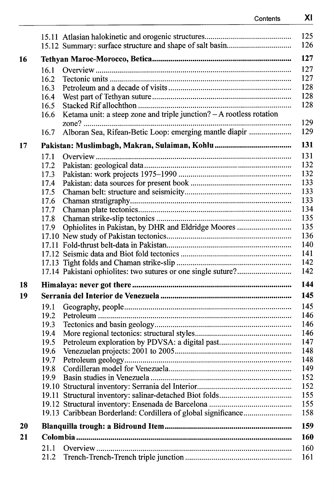|    |      | 125<br>126                                                                  |  |
|----|------|-----------------------------------------------------------------------------|--|
|    |      | 127                                                                         |  |
| 16 |      |                                                                             |  |
|    | 16.1 | 127                                                                         |  |
|    | 16.2 | 127                                                                         |  |
|    | 16.3 | 128                                                                         |  |
|    | 16.4 | 128                                                                         |  |
|    | 16.5 | 128                                                                         |  |
|    | 16.6 | Ketama unit: a steep zone and triple junction? - A rootless rotation<br>129 |  |
|    | 16.7 | Alboran Sea, Rifean-Betic Loop: emerging mantle diapir<br>129               |  |
| 17 |      | 131                                                                         |  |
|    | 17.1 | 131                                                                         |  |
|    | 17.2 | 132                                                                         |  |
|    | 17.3 | 132                                                                         |  |
|    | 17.4 | 133                                                                         |  |
|    | 17.5 | 133                                                                         |  |
|    | 17.6 | 133                                                                         |  |
|    | 17.7 | 134                                                                         |  |
|    | 17.8 | 135                                                                         |  |
|    | 17.9 | Ophiolites in Pakistan, by DHR and Eldridge Moores<br>135                   |  |
|    |      | 136                                                                         |  |
|    |      | 140                                                                         |  |
|    |      | 141                                                                         |  |
|    |      | 142                                                                         |  |
|    |      | 142                                                                         |  |
| 18 |      | 144                                                                         |  |
| 19 |      | 145                                                                         |  |
|    | 19.1 | 145                                                                         |  |
|    | 19.2 | 146                                                                         |  |
|    | 19.3 | 146                                                                         |  |
|    | 19.4 | 146                                                                         |  |
|    | 19.5 | 147                                                                         |  |
|    | 19.6 | 148                                                                         |  |
|    | 19.7 | 148                                                                         |  |
|    | 19.8 | 149                                                                         |  |
|    | 19.9 | 152                                                                         |  |
|    |      | 152                                                                         |  |
|    |      | 155                                                                         |  |
|    |      | 155                                                                         |  |
|    |      | 158                                                                         |  |
| 20 |      | 159                                                                         |  |
| 21 |      | <b>160</b>                                                                  |  |
|    | 21.1 | 160                                                                         |  |
|    | 21.2 | 161                                                                         |  |
|    |      |                                                                             |  |